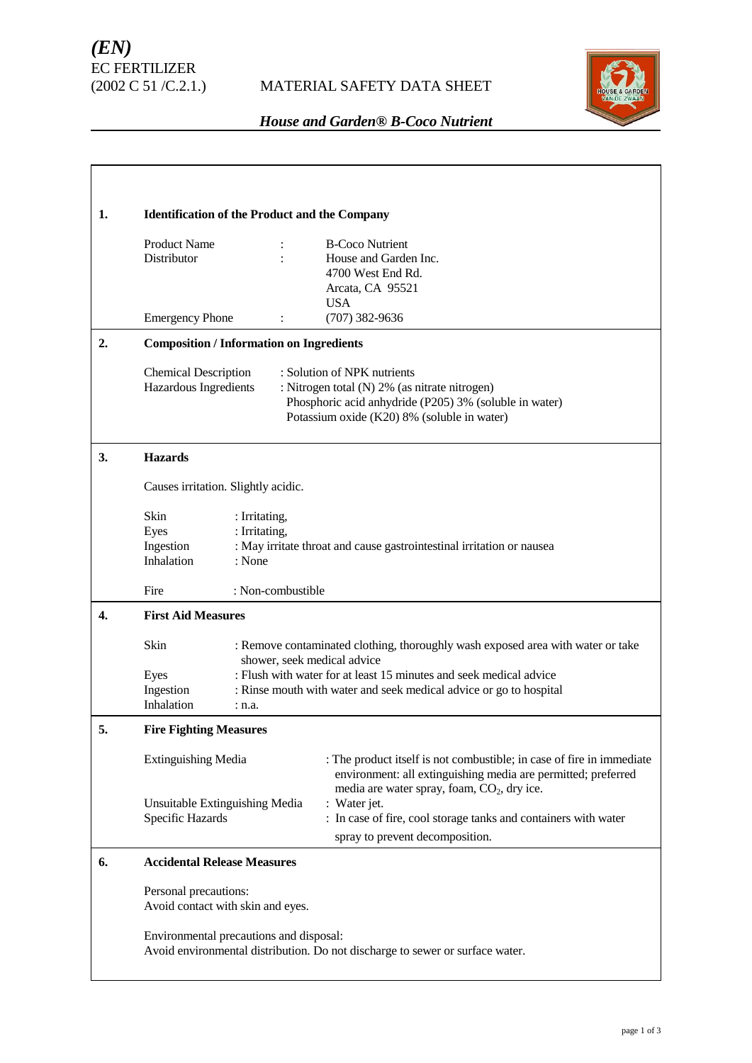

# *House and Garden® B-Coco Nutrient*

| 1. | <b>Identification of the Product and the Company</b>                                                                                                                                   |                                          |                                                                                                                                                                                                   |
|----|----------------------------------------------------------------------------------------------------------------------------------------------------------------------------------------|------------------------------------------|---------------------------------------------------------------------------------------------------------------------------------------------------------------------------------------------------|
|    | <b>Product Name</b><br>Distributor<br><b>Emergency Phone</b>                                                                                                                           | :                                        | <b>B-Coco Nutrient</b><br>House and Garden Inc.<br>4700 West End Rd.<br>Arcata, CA 95521<br><b>USA</b><br>$(707)$ 382-9636                                                                        |
| 2. | <b>Composition / Information on Ingredients</b>                                                                                                                                        |                                          |                                                                                                                                                                                                   |
|    | <b>Chemical Description</b><br>Hazardous Ingredients                                                                                                                                   |                                          | : Solution of NPK nutrients<br>: Nitrogen total (N) 2% (as nitrate nitrogen)<br>Phosphoric acid anhydride (P205) 3% (soluble in water)<br>Potassium oxide (K20) 8% (soluble in water)             |
| 3. | <b>Hazards</b>                                                                                                                                                                         |                                          |                                                                                                                                                                                                   |
|    | Causes irritation. Slightly acidic.                                                                                                                                                    |                                          |                                                                                                                                                                                                   |
|    | <b>Skin</b><br>Eyes<br>Ingestion<br>Inhalation                                                                                                                                         | : Irritating,<br>: Irritating,<br>: None | : May irritate throat and cause gastrointestinal irritation or nausea                                                                                                                             |
|    | Fire                                                                                                                                                                                   | : Non-combustible                        |                                                                                                                                                                                                   |
| 4. | <b>First Aid Measures</b>                                                                                                                                                              |                                          |                                                                                                                                                                                                   |
|    | <b>Skin</b><br>: Remove contaminated clothing, thoroughly wash exposed area with water or take<br>shower, seek medical advice                                                          |                                          |                                                                                                                                                                                                   |
|    | : Flush with water for at least 15 minutes and seek medical advice<br>Eyes                                                                                                             |                                          |                                                                                                                                                                                                   |
|    | Ingestion<br>Inhalation                                                                                                                                                                | : n.a.                                   | : Rinse mouth with water and seek medical advice or go to hospital                                                                                                                                |
| 5. | <b>Fire Fighting Measures</b><br><b>Extinguishing Media</b><br>Unsuitable Extinguishing Media<br>Specific Hazards                                                                      |                                          |                                                                                                                                                                                                   |
|    |                                                                                                                                                                                        |                                          | : The product itself is not combustible; in case of fire in immediate<br>environment: all extinguishing media are permitted; preferred<br>media are water spray, foam, CO <sub>2</sub> , dry ice. |
|    |                                                                                                                                                                                        |                                          | : Water jet.<br>: In case of fire, cool storage tanks and containers with water<br>spray to prevent decomposition.                                                                                |
| 6. | <b>Accidental Release Measures</b>                                                                                                                                                     |                                          |                                                                                                                                                                                                   |
|    | Personal precautions:<br>Avoid contact with skin and eyes.<br>Environmental precautions and disposal:<br>Avoid environmental distribution. Do not discharge to sewer or surface water. |                                          |                                                                                                                                                                                                   |
|    |                                                                                                                                                                                        |                                          |                                                                                                                                                                                                   |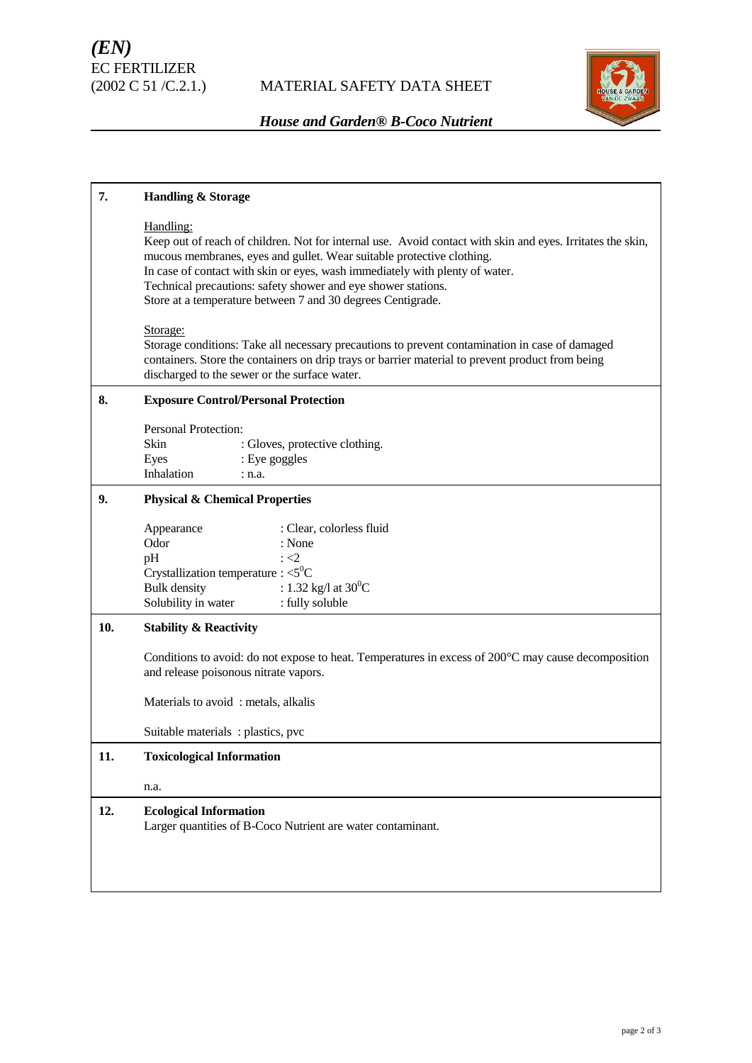

# *House and Garden® B-Coco Nutrient*

| 7.  | <b>Handling &amp; Storage</b><br>Handling:<br>Keep out of reach of children. Not for internal use. Avoid contact with skin and eyes. Irritates the skin,<br>mucous membranes, eyes and gullet. Wear suitable protective clothing.<br>In case of contact with skin or eyes, wash immediately with plenty of water.<br>Technical precautions: safety shower and eye shower stations.<br>Store at a temperature between 7 and 30 degrees Centigrade.<br>Storage:<br>Storage conditions: Take all necessary precautions to prevent contamination in case of damaged<br>containers. Store the containers on drip trays or barrier material to prevent product from being<br>discharged to the sewer or the surface water. |  |  |  |
|-----|----------------------------------------------------------------------------------------------------------------------------------------------------------------------------------------------------------------------------------------------------------------------------------------------------------------------------------------------------------------------------------------------------------------------------------------------------------------------------------------------------------------------------------------------------------------------------------------------------------------------------------------------------------------------------------------------------------------------|--|--|--|
|     |                                                                                                                                                                                                                                                                                                                                                                                                                                                                                                                                                                                                                                                                                                                      |  |  |  |
|     |                                                                                                                                                                                                                                                                                                                                                                                                                                                                                                                                                                                                                                                                                                                      |  |  |  |
| 8.  | <b>Exposure Control/Personal Protection</b>                                                                                                                                                                                                                                                                                                                                                                                                                                                                                                                                                                                                                                                                          |  |  |  |
|     | <b>Personal Protection:</b><br>Skin<br>: Gloves, protective clothing.<br>: Eye goggles<br>Eyes<br>Inhalation<br>: n.a.                                                                                                                                                                                                                                                                                                                                                                                                                                                                                                                                                                                               |  |  |  |
| 9.  | <b>Physical &amp; Chemical Properties</b>                                                                                                                                                                                                                                                                                                                                                                                                                                                                                                                                                                                                                                                                            |  |  |  |
|     | : Clear, colorless fluid<br>Appearance<br>Odor<br>: None<br>pH<br>$\div$ <2<br>Crystallization temperature : $<$ 5 <sup>0</sup> C<br>: 1.32 kg/l at $30^0$ C<br><b>Bulk</b> density<br>: fully soluble<br>Solubility in water                                                                                                                                                                                                                                                                                                                                                                                                                                                                                        |  |  |  |
| 10. | <b>Stability &amp; Reactivity</b><br>Conditions to avoid: do not expose to heat. Temperatures in excess of $200^{\circ}$ C may cause decomposition<br>and release poisonous nitrate vapors.<br>Materials to avoid: metals, alkalis<br>Suitable materials: plastics, pvc                                                                                                                                                                                                                                                                                                                                                                                                                                              |  |  |  |
|     |                                                                                                                                                                                                                                                                                                                                                                                                                                                                                                                                                                                                                                                                                                                      |  |  |  |
|     |                                                                                                                                                                                                                                                                                                                                                                                                                                                                                                                                                                                                                                                                                                                      |  |  |  |
|     |                                                                                                                                                                                                                                                                                                                                                                                                                                                                                                                                                                                                                                                                                                                      |  |  |  |
| 11. | <b>Toxicological Information</b>                                                                                                                                                                                                                                                                                                                                                                                                                                                                                                                                                                                                                                                                                     |  |  |  |
|     | n.a.                                                                                                                                                                                                                                                                                                                                                                                                                                                                                                                                                                                                                                                                                                                 |  |  |  |
| 12. | <b>Ecological Information</b><br>Larger quantities of B-Coco Nutrient are water contaminant.                                                                                                                                                                                                                                                                                                                                                                                                                                                                                                                                                                                                                         |  |  |  |
|     |                                                                                                                                                                                                                                                                                                                                                                                                                                                                                                                                                                                                                                                                                                                      |  |  |  |